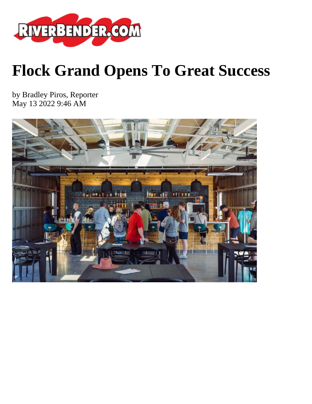

## **Flock Grand Opens To Great Success**

by Bradley Piros, Reporter May 13 2022 9:46 AM

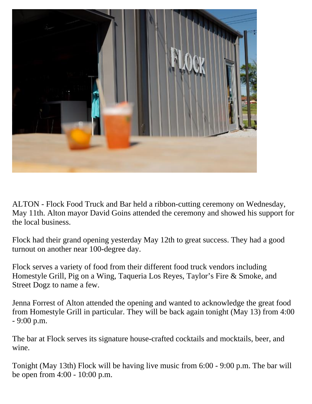

ALTON - Flock Food Truck and Bar held a ribbon-cutting ceremony on Wednesday, May 11th. Alton mayor David Goins attended the ceremony and showed his support for the local business.

Flock had their grand opening yesterday May 12th to great success. They had a good turnout on another near 100-degree day.

Flock serves a variety of food from their different food truck vendors including Homestyle Grill, Pig on a Wing, Taqueria Los Reyes, Taylor's Fire & Smoke, and Street Dogz to name a few.

Jenna Forrest of Alton attended the opening and wanted to acknowledge the great food from Homestyle Grill in particular. They will be back again tonight (May 13) from 4:00 - 9:00 p.m.

The bar at Flock serves its signature house-crafted cocktails and mocktails, beer, and wine.

Tonight (May 13th) Flock will be having live music from 6:00 - 9:00 p.m. The bar will be open from 4:00 - 10:00 p.m.